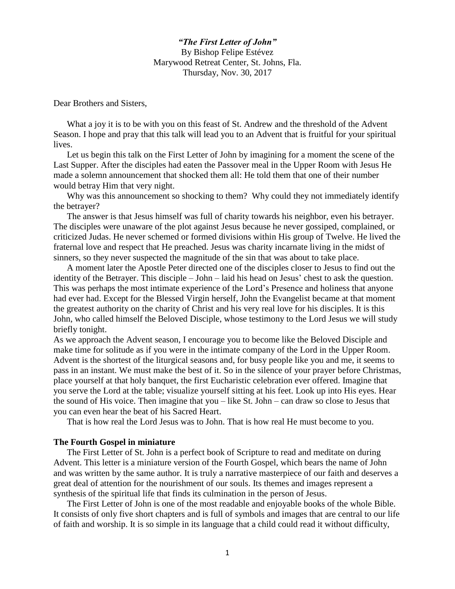*"The First Letter of John"* By Bishop Felipe Estévez Marywood Retreat Center, St. Johns, Fla. Thursday, Nov. 30, 2017

Dear Brothers and Sisters,

What a joy it is to be with you on this feast of St. Andrew and the threshold of the Advent Season. I hope and pray that this talk will lead you to an Advent that is fruitful for your spiritual lives.

Let us begin this talk on the First Letter of John by imagining for a moment the scene of the Last Supper. After the disciples had eaten the Passover meal in the Upper Room with Jesus He made a solemn announcement that shocked them all: He told them that one of their number would betray Him that very night.

Why was this announcement so shocking to them? Why could they not immediately identify the betrayer?

The answer is that Jesus himself was full of charity towards his neighbor, even his betrayer. The disciples were unaware of the plot against Jesus because he never gossiped, complained, or criticized Judas. He never schemed or formed divisions within His group of Twelve. He lived the fraternal love and respect that He preached. Jesus was charity incarnate living in the midst of sinners, so they never suspected the magnitude of the sin that was about to take place.

A moment later the Apostle Peter directed one of the disciples closer to Jesus to find out the identity of the Betrayer. This disciple – John – laid his head on Jesus' chest to ask the question. This was perhaps the most intimate experience of the Lord's Presence and holiness that anyone had ever had. Except for the Blessed Virgin herself, John the Evangelist became at that moment the greatest authority on the charity of Christ and his very real love for his disciples. It is this John, who called himself the Beloved Disciple, whose testimony to the Lord Jesus we will study briefly tonight.

As we approach the Advent season, I encourage you to become like the Beloved Disciple and make time for solitude as if you were in the intimate company of the Lord in the Upper Room. Advent is the shortest of the liturgical seasons and, for busy people like you and me, it seems to pass in an instant. We must make the best of it. So in the silence of your prayer before Christmas, place yourself at that holy banquet, the first Eucharistic celebration ever offered. Imagine that you serve the Lord at the table; visualize yourself sitting at his feet. Look up into His eyes. Hear the sound of His voice. Then imagine that you – like St. John – can draw so close to Jesus that you can even hear the beat of his Sacred Heart.

That is how real the Lord Jesus was to John. That is how real He must become to you.

## **The Fourth Gospel in miniature**

The First Letter of St. John is a perfect book of Scripture to read and meditate on during Advent. This letter is a miniature version of the Fourth Gospel, which bears the name of John and was written by the same author. It is truly a narrative masterpiece of our faith and deserves a great deal of attention for the nourishment of our souls. Its themes and images represent a synthesis of the spiritual life that finds its culmination in the person of Jesus.

The First Letter of John is one of the most readable and enjoyable books of the whole Bible. It consists of only five short chapters and is full of symbols and images that are central to our life of faith and worship. It is so simple in its language that a child could read it without difficulty,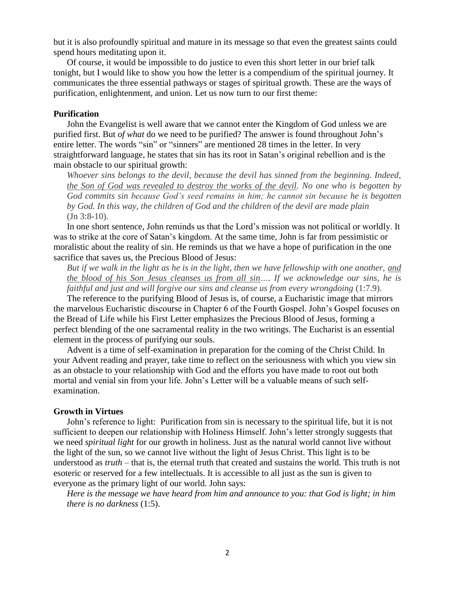but it is also profoundly spiritual and mature in its message so that even the greatest saints could spend hours meditating upon it.

Of course, it would be impossible to do justice to even this short letter in our brief talk tonight, but I would like to show you how the letter is a compendium of the spiritual journey. It communicates the three essential pathways or stages of spiritual growth. These are the ways of purification, enlightenment, and union. Let us now turn to our first theme:

### **Purification**

John the Evangelist is well aware that we cannot enter the Kingdom of God unless we are purified first. But *of what* do we need to be purified? The answer is found throughout John's entire letter. The words "sin" or "sinners" are mentioned 28 times in the letter. In very straightforward language, he states that sin has its root in Satan's original rebellion and is the main obstacle to our spiritual growth:

*Whoever sins belongs to the devil, because the devil has sinned from the beginning. Indeed, the Son of God was revealed to destroy the works of the devil. No one who is begotten by God commits sin because God's seed remains in him; he cannot sin because he is begotten by God. In this way, the children of God and the children of the devil are made plain* (Jn 3:8-10).

In one short sentence, John reminds us that the Lord's mission was not political or worldly. It was to strike at the core of Satan's kingdom. At the same time, John is far from pessimistic or moralistic about the reality of sin. He reminds us that we have a hope of purification in the one sacrifice that saves us, the Precious Blood of Jesus:

*But if we walk in the light as he is in the light, then we have fellowship with one another, and the blood of his Son Jesus cleanses us from all sin…. If we acknowledge our sins, he is faithful and just and will forgive our sins and cleanse us from every wrongdoing (1:7.9).* 

The reference to the purifying Blood of Jesus is, of course, a Eucharistic image that mirrors the marvelous Eucharistic discourse in Chapter 6 of the Fourth Gospel. John's Gospel focuses on the Bread of Life while his First Letter emphasizes the Precious Blood of Jesus, forming a perfect blending of the one sacramental reality in the two writings. The Eucharist is an essential element in the process of purifying our souls.

Advent is a time of self-examination in preparation for the coming of the Christ Child. In your Advent reading and prayer, take time to reflect on the seriousness with which you view sin as an obstacle to your relationship with God and the efforts you have made to root out both mortal and venial sin from your life. John's Letter will be a valuable means of such selfexamination.

## **Growth in Virtues**

John's reference to light: Purification from sin is necessary to the spiritual life, but it is not sufficient to deepen our relationship with Holiness Himself. John's letter strongly suggests that we need *spiritual light* for our growth in holiness. Just as the natural world cannot live without the light of the sun, so we cannot live without the light of Jesus Christ. This light is to be understood as *truth* – that is, the eternal truth that created and sustains the world. This truth is not esoteric or reserved for a few intellectuals. It is accessible to all just as the sun is given to everyone as the primary light of our world. John says:

*Here is the message we have heard from him and announce to you: that God is light; in him there is no darkness* (1:5).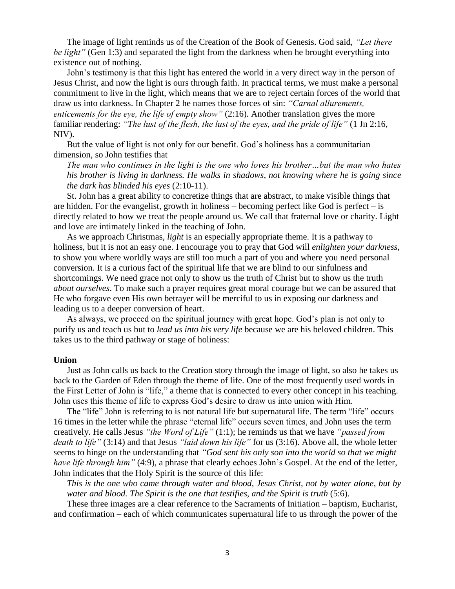The image of light reminds us of the Creation of the Book of Genesis. God said, *"Let there be light"* (Gen 1:3) and separated the light from the darkness when he brought everything into existence out of nothing.

John's testimony is that this light has entered the world in a very direct way in the person of Jesus Christ, and now the light is ours through faith. In practical terms, we must make a personal commitment to live in the light, which means that we are to reject certain forces of the world that draw us into darkness. In Chapter 2 he names those forces of sin: *"Carnal allurements, enticements for the eye, the life of empty show"* (2:16). Another translation gives the more familiar rendering: *"The lust of the flesh, the lust of the eyes, and the pride of life"* (1 Jn 2:16, NIV).

But the value of light is not only for our benefit. God's holiness has a communitarian dimension, so John testifies that

*The man who continues in the light is the one who loves his brother…but the man who hates his brother is living in darkness. He walks in shadows, not knowing where he is going since the dark has blinded his eyes* (2:10-11).

St. John has a great ability to concretize things that are abstract, to make visible things that are hidden. For the evangelist, growth in holiness – becoming perfect like God is perfect – is directly related to how we treat the people around us. We call that fraternal love or charity. Light and love are intimately linked in the teaching of John.

As we approach Christmas, *light* is an especially appropriate theme. It is a pathway to holiness, but it is not an easy one. I encourage you to pray that God will *enlighten your darkness*, to show you where worldly ways are still too much a part of you and where you need personal conversion. It is a curious fact of the spiritual life that we are blind to our sinfulness and shortcomings. We need grace not only to show us the truth of Christ but to show us the truth *about ourselves*. To make such a prayer requires great moral courage but we can be assured that He who forgave even His own betrayer will be merciful to us in exposing our darkness and leading us to a deeper conversion of heart.

As always, we proceed on the spiritual journey with great hope. God's plan is not only to purify us and teach us but to *lead us into his very life* because we are his beloved children. This takes us to the third pathway or stage of holiness:

### **Union**

Just as John calls us back to the Creation story through the image of light, so also he takes us back to the Garden of Eden through the theme of life. One of the most frequently used words in the First Letter of John is "life," a theme that is connected to every other concept in his teaching. John uses this theme of life to express God's desire to draw us into union with Him.

The "life" John is referring to is not natural life but supernatural life. The term "life" occurs 16 times in the letter while the phrase "eternal life" occurs seven times, and John uses the term creatively. He calls Jesus *"the Word of Life"* (1:1); he reminds us that we have *"passed from death to life"* (3:14) and that Jesus *"laid down his life"* for us (3:16). Above all, the whole letter seems to hinge on the understanding that *"God sent his only son into the world so that we might have life through him*" (4:9), a phrase that clearly echoes John's Gospel. At the end of the letter, John indicates that the Holy Spirit is the source of this life:

*This is the one who came through water and blood, Jesus Christ, not by water alone, but by water and blood. The Spirit is the one that testifies, and the Spirit is truth* (5:6).

These three images are a clear reference to the Sacraments of Initiation – baptism, Eucharist, and confirmation – each of which communicates supernatural life to us through the power of the